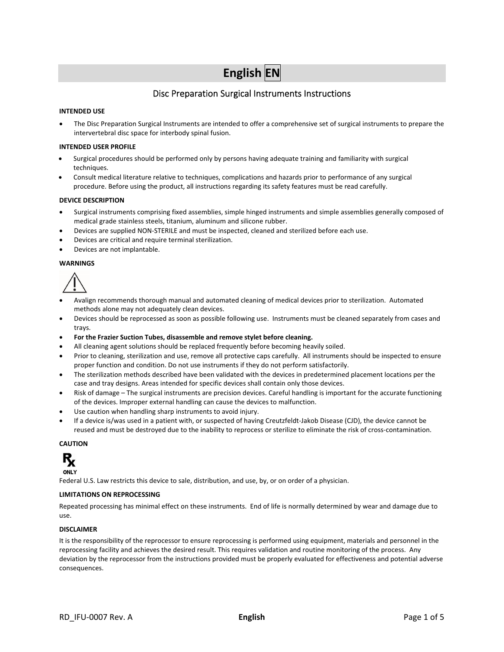# **English EN**

## Disc Preparation Surgical Instruments Instructions

#### **INTENDED USE**

 The Disc Preparation Surgical Instruments are intended to offer a comprehensive set of surgical instruments to prepare the intervertebral disc space for interbody spinal fusion.

#### **INTENDED USER PROFILE**

- Surgical procedures should be performed only by persons having adequate training and familiarity with surgical techniques.
- Consult medical literature relative to techniques, complications and hazards prior to performance of any surgical procedure. Before using the product, all instructions regarding its safety features must be read carefully.

#### **DEVICE DESCRIPTION**

- Surgical instruments comprising fixed assemblies, simple hinged instruments and simple assemblies generally composed of medical grade stainless steels, titanium, aluminum and silicone rubber.
- Devices are supplied NON‐STERILE and must be inspected, cleaned and sterilized before each use.
- Devices are critical and require terminal sterilization.
- Devices are not implantable.

#### **WARNINGS**



- Avalign recommends thorough manual and automated cleaning of medical devices prior to sterilization. Automated methods alone may not adequately clean devices.
- Devices should be reprocessed as soon as possible following use. Instruments must be cleaned separately from cases and trays.
- **For the Frazier Suction Tubes, disassemble and remove stylet before cleaning.**
- All cleaning agent solutions should be replaced frequently before becoming heavily soiled.
- Prior to cleaning, sterilization and use, remove all protective caps carefully. All instruments should be inspected to ensure proper function and condition. Do not use instruments if they do not perform satisfactorily.
- The sterilization methods described have been validated with the devices in predetermined placement locations per the case and tray designs. Areas intended for specific devices shall contain only those devices.
- Risk of damage The surgical instruments are precision devices. Careful handling is important for the accurate functioning of the devices. Improper external handling can cause the devices to malfunction.
- Use caution when handling sharp instruments to avoid injury.
- If a device is/was used in a patient with, or suspected of having Creutzfeldt‐Jakob Disease (CJD), the device cannot be reused and must be destroyed due to the inability to reprocess or sterilize to eliminate the risk of cross-contamination.

#### **CAUTION**



Federal U.S. Law restricts this device to sale, distribution, and use, by, or on order of a physician.

#### **LIMITATIONS ON REPROCESSING**

Repeated processing has minimal effect on these instruments. End of life is normally determined by wear and damage due to use.

#### **DISCLAIMER**

It is the responsibility of the reprocessor to ensure reprocessing is performed using equipment, materials and personnel in the reprocessing facility and achieves the desired result. This requires validation and routine monitoring of the process. Any deviation by the reprocessor from the instructions provided must be properly evaluated for effectiveness and potential adverse consequences.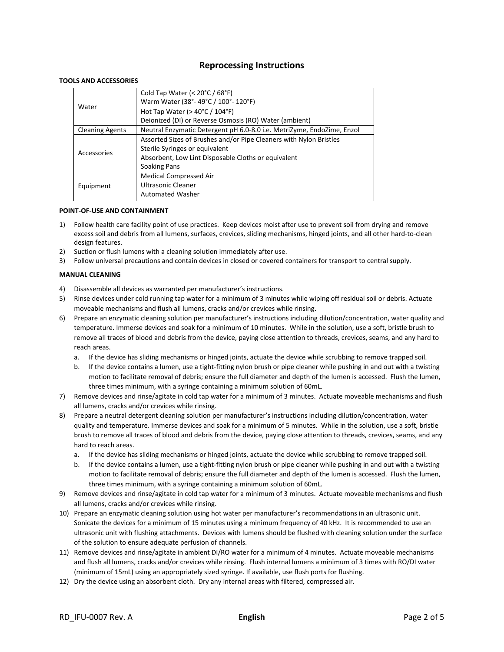## **Reprocessing Instructions**

#### **TOOLS AND ACCESSORIES**

|                        | Cold Tap Water (< $20^{\circ}$ C / 68 $^{\circ}$ F)                    |
|------------------------|------------------------------------------------------------------------|
| Water                  | Warm Water (38°-49°C / 100°-120°F)                                     |
|                        | Hot Tap Water ( $>$ 40 $\degree$ C / 104 $\degree$ F)                  |
|                        | Deionized (DI) or Reverse Osmosis (RO) Water (ambient)                 |
| <b>Cleaning Agents</b> | Neutral Enzymatic Detergent pH 6.0-8.0 i.e. MetriZyme, EndoZime, Enzol |
| Accessories            | Assorted Sizes of Brushes and/or Pipe Cleaners with Nylon Bristles     |
|                        | Sterile Syringes or equivalent                                         |
|                        | Absorbent, Low Lint Disposable Cloths or equivalent                    |
|                        | Soaking Pans                                                           |
|                        | <b>Medical Compressed Air</b>                                          |
| Equipment              | Ultrasonic Cleaner                                                     |
|                        | <b>Automated Washer</b>                                                |

#### **POINT‐OF‐USE AND CONTAINMENT**

- 1) Follow health care facility point of use practices. Keep devices moist after use to prevent soil from drying and remove excess soil and debris from all lumens, surfaces, crevices, sliding mechanisms, hinged joints, and all other hard‐to‐clean design features.
- 2) Suction or flush lumens with a cleaning solution immediately after use.
- 3) Follow universal precautions and contain devices in closed or covered containers for transport to central supply.

#### **MANUAL CLEANING**

- 4) Disassemble all devices as warranted per manufacturer's instructions.
- 5) Rinse devices under cold running tap water for a minimum of 3 minutes while wiping off residual soil or debris. Actuate moveable mechanisms and flush all lumens, cracks and/or crevices while rinsing.
- 6) Prepare an enzymatic cleaning solution per manufacturer's instructions including dilution/concentration, water quality and temperature. Immerse devices and soak for a minimum of 10 minutes. While in the solution, use a soft, bristle brush to remove all traces of blood and debris from the device, paying close attention to threads, crevices, seams, and any hard to reach areas.
	- a. If the device has sliding mechanisms or hinged joints, actuate the device while scrubbing to remove trapped soil.
	- b. If the device contains a lumen, use a tight‐fitting nylon brush or pipe cleaner while pushing in and out with a twisting motion to facilitate removal of debris; ensure the full diameter and depth of the lumen is accessed. Flush the lumen, three times minimum, with a syringe containing a minimum solution of 60mL.
- 7) Remove devices and rinse/agitate in cold tap water for a minimum of 3 minutes. Actuate moveable mechanisms and flush all lumens, cracks and/or crevices while rinsing.
- 8) Prepare a neutral detergent cleaning solution per manufacturer's instructions including dilution/concentration, water quality and temperature. Immerse devices and soak for a minimum of 5 minutes. While in the solution, use a soft, bristle brush to remove all traces of blood and debris from the device, paying close attention to threads, crevices, seams, and any hard to reach areas.
	- a. If the device has sliding mechanisms or hinged joints, actuate the device while scrubbing to remove trapped soil.
	- b. If the device contains a lumen, use a tight‐fitting nylon brush or pipe cleaner while pushing in and out with a twisting motion to facilitate removal of debris; ensure the full diameter and depth of the lumen is accessed. Flush the lumen, three times minimum, with a syringe containing a minimum solution of 60mL.
- 9) Remove devices and rinse/agitate in cold tap water for a minimum of 3 minutes. Actuate moveable mechanisms and flush all lumens, cracks and/or crevices while rinsing.
- 10) Prepare an enzymatic cleaning solution using hot water per manufacturer's recommendations in an ultrasonic unit. Sonicate the devices for a minimum of 15 minutes using a minimum frequency of 40 kHz. It is recommended to use an ultrasonic unit with flushing attachments. Devices with lumens should be flushed with cleaning solution under the surface of the solution to ensure adequate perfusion of channels.
- 11) Remove devices and rinse/agitate in ambient DI/RO water for a minimum of 4 minutes. Actuate moveable mechanisms and flush all lumens, cracks and/or crevices while rinsing. Flush internal lumens a minimum of 3 times with RO/DI water (minimum of 15mL) using an appropriately sized syringe. If available, use flush ports for flushing.
- 12) Dry the device using an absorbent cloth. Dry any internal areas with filtered, compressed air.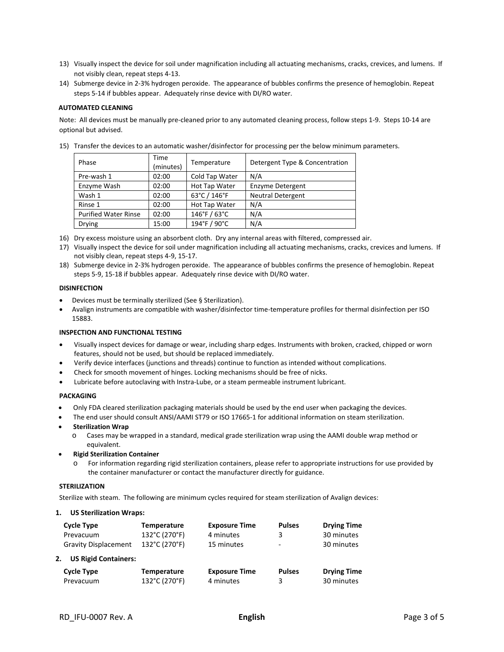- 13) Visually inspect the device for soil under magnification including all actuating mechanisms, cracks, crevices, and lumens. If not visibly clean, repeat steps 4‐13.
- 14) Submerge device in 2‐3% hydrogen peroxide. The appearance of bubbles confirms the presence of hemoglobin. Repeat steps 5‐14 if bubbles appear. Adequately rinse device with DI/RO water.

#### **AUTOMATED CLEANING**

Note: All devices must be manually pre‐cleaned prior to any automated cleaning process, follow steps 1‐9. Steps 10‐14 are optional but advised.

15) Transfer the devices to an automatic washer/disinfector for processing per the below minimum parameters.

| Phase                       | Time<br>(minutes) | Temperature    | Detergent Type & Concentration |
|-----------------------------|-------------------|----------------|--------------------------------|
| Pre-wash 1                  | 02:00             | Cold Tap Water | N/A                            |
| Enzyme Wash                 | 02:00             | Hot Tap Water  | <b>Enzyme Detergent</b>        |
| Wash 1                      | 02:00             | 63°C / 146°F   | <b>Neutral Detergent</b>       |
| Rinse 1                     | 02:00             | Hot Tap Water  | N/A                            |
| <b>Purified Water Rinse</b> | 02:00             | 146°F / 63°C   | N/A                            |
| <b>Drying</b>               | 15:00             | 194°F / 90°C   | N/A                            |

- 16) Dry excess moisture using an absorbent cloth. Dry any internal areas with filtered, compressed air.
- 17) Visually inspect the device for soil under magnification including all actuating mechanisms, cracks, crevices and lumens. If not visibly clean, repeat steps 4‐9, 15‐17.
- 18) Submerge device in 2‐3% hydrogen peroxide. The appearance of bubbles confirms the presence of hemoglobin. Repeat steps 5‐9, 15‐18 if bubbles appear. Adequately rinse device with DI/RO water.

#### **DISINFECTION**

- Devices must be terminally sterilized (See § Sterilization).
- Avalign instruments are compatible with washer/disinfector time‐temperature profiles for thermal disinfection per ISO 15883.

#### **INSPECTION AND FUNCTIONAL TESTING**

- Visually inspect devices for damage or wear, including sharp edges. Instruments with broken, cracked, chipped or worn features, should not be used, but should be replaced immediately.
- Verify device interfaces (junctions and threads) continue to function as intended without complications.
- Check for smooth movement of hinges. Locking mechanisms should be free of nicks.
- Lubricate before autoclaving with Instra‐Lube, or a steam permeable instrument lubricant.

#### **PACKAGING**

- Only FDA cleared sterilization packaging materials should be used by the end user when packaging the devices.
- The end user should consult ANSI/AAMI ST79 or ISO 17665‐1 for additional information on steam sterilization.
- **Sterilization Wrap**
	- o Cases may be wrapped in a standard, medical grade sterilization wrap using the AAMI double wrap method or equivalent.
- **Rigid Sterilization Container**
	- o For information regarding rigid sterilization containers, please refer to appropriate instructions for use provided by the container manufacturer or contact the manufacturer directly for guidance.

#### **STERILIZATION**

Sterilize with steam. The following are minimum cycles required for steam sterilization of Avalign devices:

#### **1. US Sterilization Wraps:**

| Cycle Type                        | <b>Temperature</b> | <b>Exposure Time</b> | <b>Pulses</b>            | <b>Drying Time</b> |
|-----------------------------------|--------------------|----------------------|--------------------------|--------------------|
| Prevacuum                         | 132°C (270°F)      | 4 minutes            | 3                        | 30 minutes         |
| <b>Gravity Displacement</b>       | 132°C (270°F)      | 15 minutes           | $\overline{\phantom{0}}$ | 30 minutes         |
| <b>US Rigid Containers:</b><br>2. |                    |                      |                          |                    |
| <b>Cycle Type</b>                 | <b>Temperature</b> | <b>Exposure Time</b> | <b>Pulses</b>            | <b>Drying Time</b> |
| Prevacuum                         | 132°C (270°F)      | 4 minutes            | 3                        | 30 minutes         |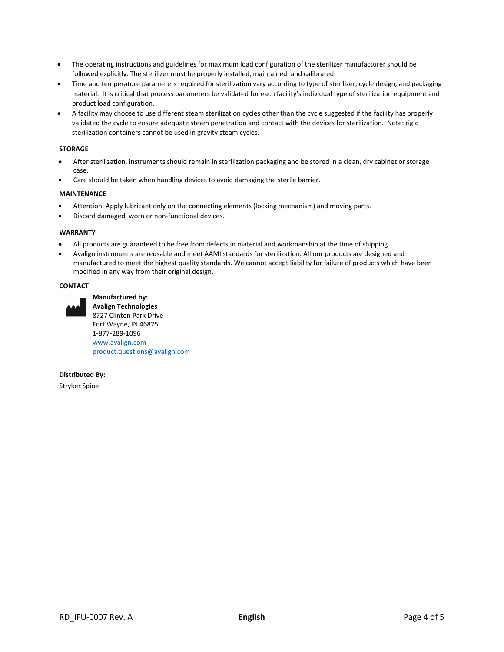- The operating instructions and guidelines for maximum load configuration of the sterilizer manufacturer should be followed explicitly. The sterilizer must be properly installed, maintained, and calibrated.
- Time and temperature parameters required for sterilization vary according to type of sterilizer, cycle design, and packaging material. It is critical that process parameters be validated for each facility's individual type of sterilization equipment and product load configuration.
- A facility may choose to use different steam sterilization cycles other than the cycle suggested if the facility has properly validated the cycle to ensure adequate steam penetration and contact with the devices for sterilization. Note: rigid sterilization containers cannot be used in gravity steam cycles.

#### **STORAGE**

- After sterilization, instruments should remain in sterilization packaging and be stored in a clean, dry cabinet or storage case.
- Care should be taken when handling devices to avoid damaging the sterile barrier.

#### **MAINTENANCE**

- Attention: Apply lubricant only on the connecting elements (locking mechanism) and moving parts.
- Discard damaged, worn or non‐functional devices.

#### **WARRANTY**

- All products are guaranteed to be free from defects in material and workmanship at the time of shipping.
- Avalign instruments are reusable and meet AAMI standards for sterilization. All our products are designed and manufactured to meet the highest quality standards. We cannot accept liability for failure of products which have been modified in any way from their original design.

#### **CONTACT**



**Manufactured by: Avalign Technologies**  8727 Clinton Park Drive Fort Wayne, IN 46825 1‐877‐289‐1096 www.avalign.com product.questions@avalign.com

**Distributed By:** 

Stryker Spine